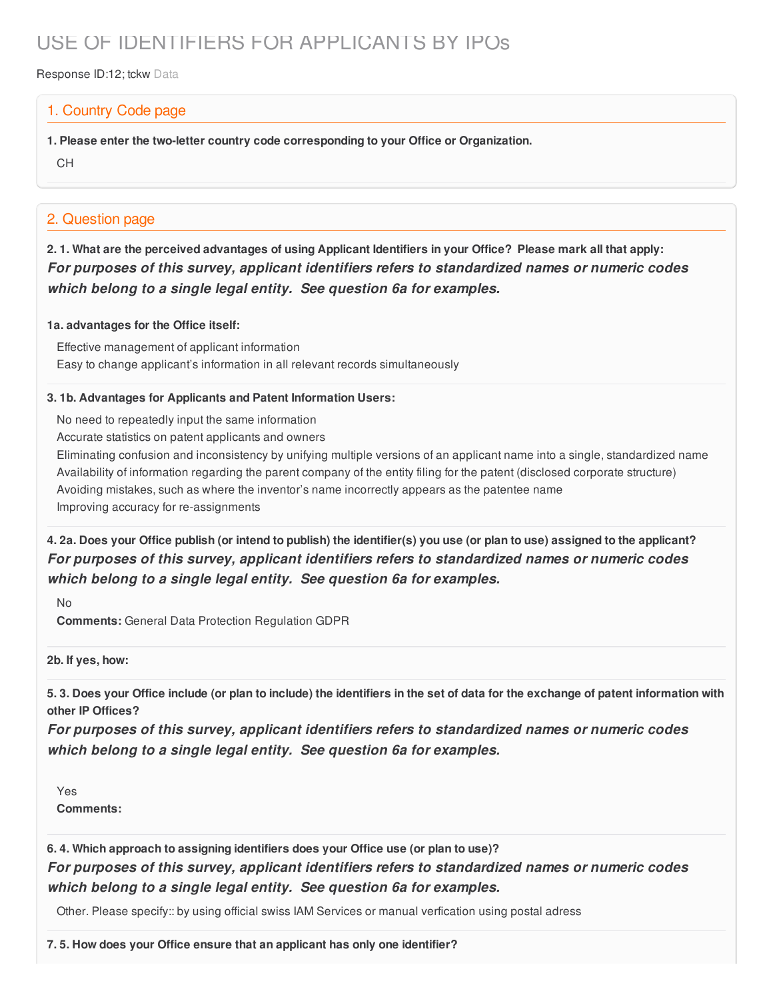# USE OF IDENTIFIERS FOR APPLICANTS BY IPOs

Response ID:12; tckw Data

### 1. Country Code page

**1. Please enter the two-letter country code corresponding to your Office or Organization.**

CH

## 2. Question page

2.1. What are the perceived advantages of using Applicant Identifiers in your Office? Please mark all that apply: *For purposes of this survey, applicant identifiers refers to standardized names or numeric codes which belong to a single legal entity. See question 6a for examples.*

#### **1a. advantages for the Office itself:**

Effective management of applicant information Easy to change applicant's information in all relevant records simultaneously

#### **3. 1b. Advantages for Applicants and Patent Information Users:**

No need to repeatedly input the same information

Accurate statistics on patent applicants and owners

Eliminating confusion and inconsistency by unifying multiple versions of an applicant name into a single, standardized name Availability of information regarding the parent company of the entity filing for the patent (disclosed corporate structure) Avoiding mistakes, such as where the inventor's name incorrectly appears as the patentee name Improving accuracy for re-assignments

4. 2a. Does your Office publish (or intend to publish) the identifier(s) you use (or plan to use) assigned to the applicant? *For purposes of this survey, applicant identifiers refers to standardized names or numeric codes which belong to a single legal entity. See question 6a for examples.*

No

**Comments:** General Data Protection Regulation GDPR

**2b. If yes, how:**

5.3. Does your Office include (or plan to include) the identifiers in the set of data for the exchange of patent information with **other IP Offices?**

*For purposes of this survey, applicant identifiers refers to standardized names or numeric codes which belong to a single legal entity. See question 6a for examples.*

Yes **Comments:**

**6. 4. Which approach to assigning identifiers does your Office use (or plan to use)?** *For purposes of this survey, applicant identifiers refers to standardized names or numeric codes which belong to a single legal entity. See question 6a for examples.*

Other. Please specify:: by using official swiss IAM Services or manual verfication using postal adress

**7. 5. How does your Office ensure that an applicant has only one identifier?**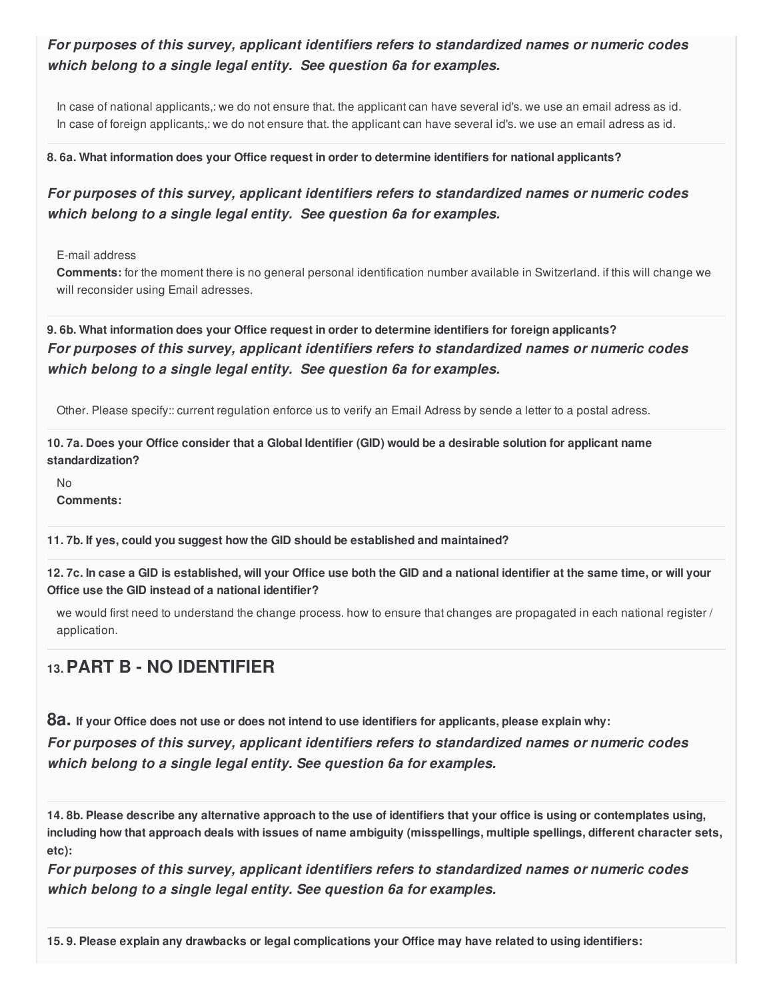## *For purposes of this survey, applicant identifiers refers to standardized names or numeric codes which belong to a single legal entity. See question 6a for examples.*

In case of national applicants,: we do not ensure that. the applicant can have several id's. we use an email adress as id. In case of foreign applicants,: we do not ensure that. the applicant can have several id's. we use an email adress as id.

#### **8. 6a. What information does your Office request in order to determine identifiers for national applicants?**

## *For purposes of this survey, applicant identifiers refers to standardized names or numeric codes which belong to a single legal entity. See question 6a for examples.*

E-mail address

**Comments:** for the moment there is no general personal identification number available in Switzerland. if this will change we will reconsider using Email adresses.

**9. 6b. What information does your Office request in order to determine identifiers for foreign applicants?** *For purposes of this survey, applicant identifiers refers to standardized names or numeric codes which belong to a single legal entity. See question 6a for examples.*

Other. Please specify:: current regulation enforce us to verify an Email Adress by sende a letter to a postal adress.

10.7a. Does your Office consider that a Global Identifier (GID) would be a desirable solution for applicant name **standardization?**

No **Comments:**

**11. 7b. If yes, could you suggest how the GID should be established and maintained?**

12.7c. In case a GID is established, will your Office use both the GID and a national identifier at the same time, or will your **Office use the GID instead of a national identifier?**

we would first need to understand the change process. how to ensure that changes are propagated in each national register / application.

## **13.PART B - NO IDENTIFIER**

8a. If your Office does not use or does not intend to use identifiers for applicants, please explain why: *For purposes of this survey, applicant identifiers refers to standardized names or numeric codes which belong to a single legal entity. See question 6a for examples.*

14.8b. Please describe any alternative approach to the use of identifiers that your office is using or contemplates using. including how that approach deals with issues of name ambiguity (misspellings, multiple spellings, different character sets, **etc):**

*For purposes of this survey, applicant identifiers refers to standardized names or numeric codes which belong to a single legal entity. See question 6a for examples.*

15.9. Please explain any drawbacks or legal complications your Office may have related to using identifiers: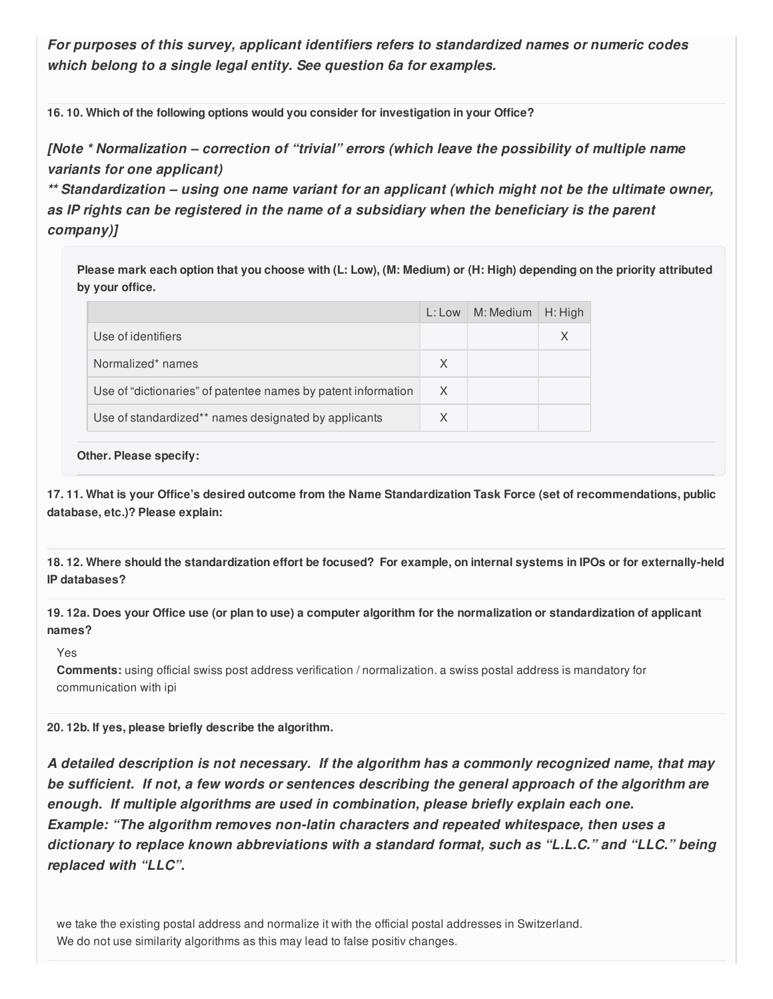*For purposes of this survey, applicant identifiers refers to standardized names or numeric codes which belong to a single legal entity. See question 6a for examples.*

**16. 10. Which of the following options would you consider for investigation in your Office?**

*[Note \* Normalization – correction of "trivial" errors (which leave the possibility of multiple name variants for one applicant)*

*\*\* Standardization – using one name variant for an applicant (which might not be the ultimate owner, as IP rights can be registered in the name of a subsidiary when the beneficiary is the parent company)]*

Please mark each option that you choose with (L: Low), (M: Medium) or (H: High) depending on the priority attributed **by your office.**

|                                                               | L: Low | M: Medium | $H:$ High |
|---------------------------------------------------------------|--------|-----------|-----------|
| Use of identifiers                                            |        |           |           |
| Normalized* names                                             | X      |           |           |
| Use of "dictionaries" of patentee names by patent information | X      |           |           |
| Use of standardized** names designated by applicants          |        |           |           |

#### **Other. Please specify:**

17.11. What is your Office's desired outcome from the Name Standardization Task Force (set of recommendations, public **database, etc.)? Please explain:**

18.12. Where should the standardization effort be focused? For example, on internal systems in IPOs or for externally-held **IP databases?**

19.12a. Does your Office use (or plan to use) a computer algorithm for the normalization or standardization of applicant **names?**

#### Yes

**Comments:** using official swiss post address verification / normalization. a swiss postal address is mandatory for communication with ipi

**20. 12b. If yes, please briefly describe the algorithm.**

*A detailed description is not necessary. If the algorithm has a commonly recognized name, that may be sufficient. If not, a few words or sentences describing the general approach of the algorithm are enough. If multiple algorithms are used in combination, please briefly explain each one. Example: "The algorithm removes non-latin characters and repeated whitespace, then uses a dictionary to replace known abbreviations with a standard format, such as "L.L.C." and "LLC." being replaced with "LLC".*

we take the existing postal address and normalize it with the official postal addresses in Switzerland. We do not use similarity algorithms as this may lead to false positiv changes.